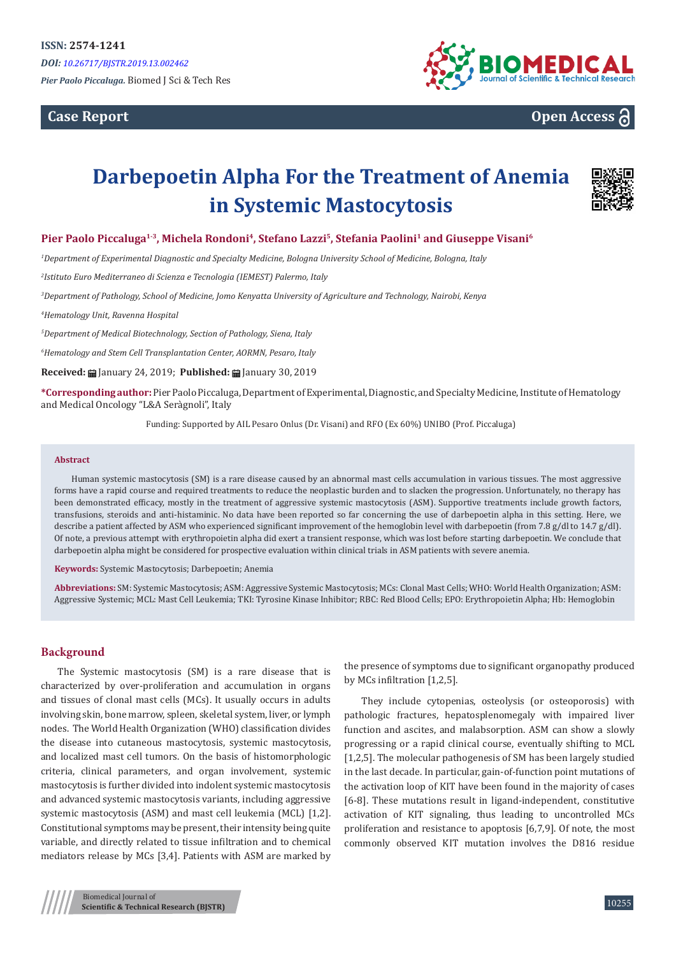**Case Report**



## **Open Access**

# **Darbepoetin Alpha For the Treatment of Anemia in Systemic Mastocytosis**



#### **Pier Paolo Piccaluga1-3, Michela Rondoni<sup>4</sup>, Stefano Lazzi<sup>5</sup>, Stefania Paolini<sup>1</sup> and Giuseppe Visani<sup>6</sup>**

*1 Department of Experimental Diagnostic and Specialty Medicine, Bologna University School of Medicine, Bologna, Italy*

*2 Istituto Euro Mediterraneo di Scienza e Tecnologia (IEMEST) Palermo, Italy*

*3 Department of Pathology, School of Medicine, Jomo Kenyatta University of Agriculture and Technology, Nairobi, Kenya*

*4 Hematology Unit, Ravenna Hospital*

*5 Department of Medical Biotechnology, Section of Pathology, Siena, Italy*

*6 Hematology and Stem Cell Transplantation Center, AORMN, Pesaro, Italy*

**Received:** ■ January 24, 2019; **Published:** ■ January 30, 2019

**\*Corresponding author:** Pier Paolo Piccaluga, Department of Experimental, Diagnostic, and Specialty Medicine, Institute of Hematology and Medical Oncology "L&A Seràgnoli", Italy

Funding: Supported by AIL Pesaro Onlus (Dr. Visani) and RFO (Ex 60%) UNIBO (Prof. Piccaluga)

#### **Abstract**

Human systemic mastocytosis (SM) is a rare disease caused by an abnormal mast cells accumulation in various tissues. The most aggressive forms have a rapid course and required treatments to reduce the neoplastic burden and to slacken the progression. Unfortunately, no therapy has been demonstrated efficacy, mostly in the treatment of aggressive systemic mastocytosis (ASM). Supportive treatments include growth factors, transfusions, steroids and anti-histaminic. No data have been reported so far concerning the use of darbepoetin alpha in this setting. Here, we describe a patient affected by ASM who experienced significant improvement of the hemoglobin level with darbepoetin (from 7.8 g/dl to 14.7 g/dl). Of note, a previous attempt with erythropoietin alpha did exert a transient response, which was lost before starting darbepoetin. We conclude that darbepoetin alpha might be considered for prospective evaluation within clinical trials in ASM patients with severe anemia.

**Keywords:** Systemic Mastocytosis; Darbepoetin; Anemia

**Abbreviations:** SM: Systemic Mastocytosis; ASM: Aggressive Systemic Mastocytosis; MCs: Clonal Mast Cells; WHO: World Health Organization; ASM: Aggressive Systemic; MCL: Mast Cell Leukemia; TKI: Tyrosine Kinase Inhibitor; RBC: Red Blood Cells; EPO: Erythropoietin Alpha; Hb: Hemoglobin

#### **Background**

The Systemic mastocytosis (SM) is a rare disease that is characterized by over-proliferation and accumulation in organs and tissues of clonal mast cells (MCs). It usually occurs in adults involving skin, bone marrow, spleen, skeletal system, liver, or lymph nodes. The World Health Organization (WHO) classification divides the disease into cutaneous mastocytosis, systemic mastocytosis, and localized mast cell tumors. On the basis of histomorphologic criteria, clinical parameters, and organ involvement, systemic mastocytosis is further divided into indolent systemic mastocytosis and advanced systemic mastocytosis variants, including aggressive systemic mastocytosis (ASM) and mast cell leukemia (MCL) [1,2]. Constitutional symptoms may be present, their intensity being quite variable, and directly related to tissue infiltration and to chemical mediators release by MCs [3,4]. Patients with ASM are marked by

the presence of symptoms due to significant organopathy produced by MCs infiltration [1,2,5].

They include cytopenias, osteolysis (or osteoporosis) with pathologic fractures, hepatosplenomegaly with impaired liver function and ascites, and malabsorption. ASM can show a slowly progressing or a rapid clinical course, eventually shifting to MCL [1,2,5]. The molecular pathogenesis of SM has been largely studied in the last decade. In particular, gain-of-function point mutations of the activation loop of KIT have been found in the majority of cases [6-8]. These mutations result in ligand-independent, constitutive activation of KIT signaling, thus leading to uncontrolled MCs proliferation and resistance to apoptosis [6,7,9]. Of note, the most commonly observed KIT mutation involves the D816 residue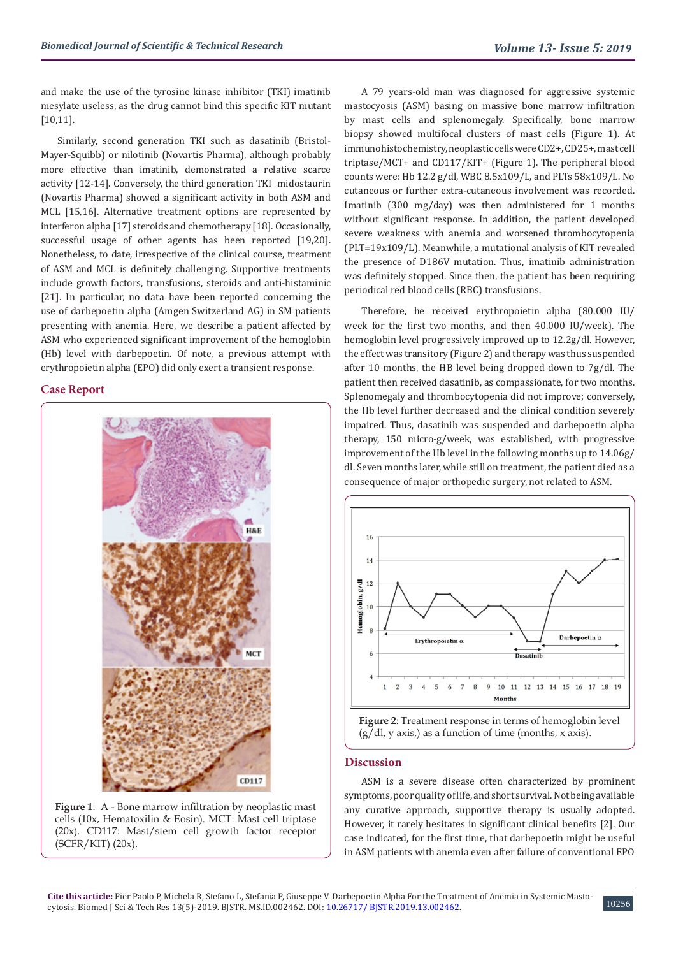and make the use of the tyrosine kinase inhibitor (TKI) imatinib mesylate useless, as the drug cannot bind this specific KIT mutant [10,11].

Similarly, second generation TKI such as dasatinib (Bristol-Mayer-Squibb) or nilotinib (Novartis Pharma), although probably more effective than imatinib, demonstrated a relative scarce activity [12-14]. Conversely, the third generation TKI midostaurin (Novartis Pharma) showed a significant activity in both ASM and MCL [15,16]. Alternative treatment options are represented by interferon alpha [17] steroids and chemotherapy [18]. Occasionally, successful usage of other agents has been reported [19,20]. Nonetheless, to date, irrespective of the clinical course, treatment of ASM and MCL is definitely challenging. Supportive treatments include growth factors, transfusions, steroids and anti-histaminic [21]. In particular, no data have been reported concerning the use of darbepoetin alpha (Amgen Switzerland AG) in SM patients presenting with anemia. Here, we describe a patient affected by ASM who experienced significant improvement of the hemoglobin (Hb) level with darbepoetin. Of note, a previous attempt with erythropoietin alpha (EPO) did only exert a transient response.

#### **Case Report**



**Figure 1**: A - Bone marrow infiltration by neoplastic mast cells (10x, Hematoxilin & Eosin). MCT: Mast cell triptase (20x). CD117: Mast/stem cell growth factor receptor (SCFR/KIT) (20x).

A 79 years-old man was diagnosed for aggressive systemic mastocyosis (ASM) basing on massive bone marrow infiltration by mast cells and splenomegaly. Specifically, bone marrow biopsy showed multifocal clusters of mast cells (Figure 1). At immunohistochemistry, neoplastic cells were CD2+, CD25+, mast cell triptase/MCT+ and CD117/KIT+ (Figure 1). The peripheral blood counts were: Hb 12.2 g/dl, WBC 8.5x109/L, and PLTs 58x109/L. No cutaneous or further extra-cutaneous involvement was recorded. Imatinib (300 mg/day) was then administered for 1 months without significant response. In addition, the patient developed severe weakness with anemia and worsened thrombocytopenia (PLT=19x109/L). Meanwhile, a mutational analysis of KIT revealed the presence of D186V mutation. Thus, imatinib administration was definitely stopped. Since then, the patient has been requiring periodical red blood cells (RBC) transfusions.

Therefore, he received erythropoietin alpha (80.000 IU/ week for the first two months, and then 40.000 IU/week). The hemoglobin level progressively improved up to 12.2g/dl. However, the effect was transitory (Figure 2) and therapy was thus suspended after 10 months, the HB level being dropped down to 7g/dl. The patient then received dasatinib, as compassionate, for two months. Splenomegaly and thrombocytopenia did not improve; conversely, the Hb level further decreased and the clinical condition severely impaired. Thus, dasatinib was suspended and darbepoetin alpha therapy, 150 micro-g/week, was established, with progressive improvement of the Hb level in the following months up to 14.06g/ dl. Seven months later, while still on treatment, the patient died as a consequence of major orthopedic surgery, not related to ASM.



**Figure 2**: Treatment response in terms of hemoglobin level  $(g/dl, y axis)$  as a function of time (months, x axis).

#### **Discussion**

ASM is a severe disease often characterized by prominent symptoms, poor quality of life, and short survival. Not being available any curative approach, supportive therapy is usually adopted. However, it rarely hesitates in significant clinical benefits [2]. Our case indicated, for the first time, that darbepoetin might be useful in ASM patients with anemia even after failure of conventional EPO

10256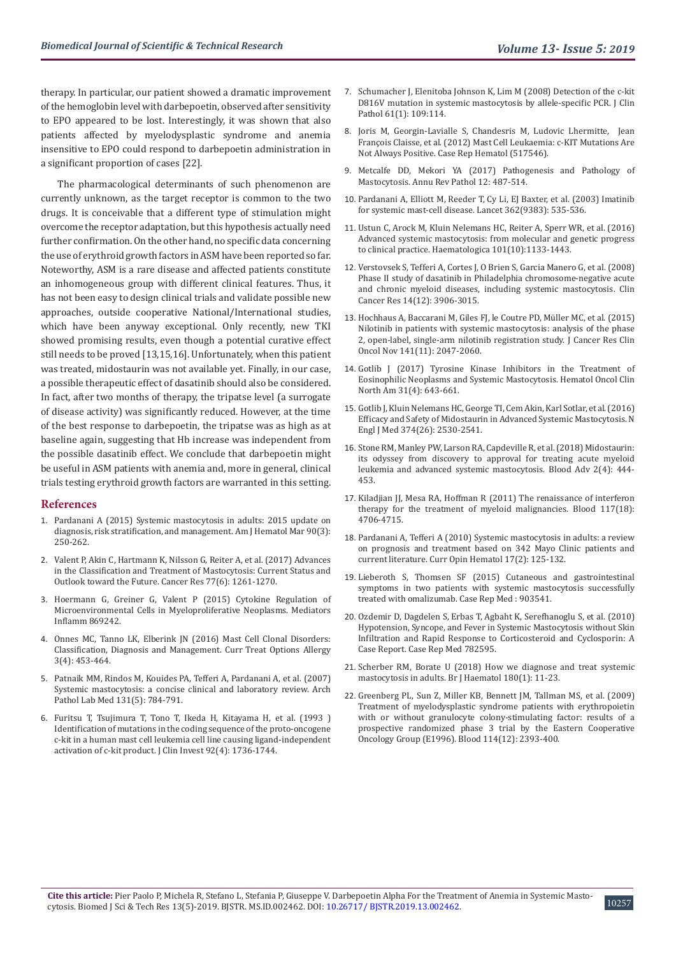therapy. In particular, our patient showed a dramatic improvement of the hemoglobin level with darbepoetin, observed after sensitivity to EPO appeared to be lost. Interestingly, it was shown that also patients affected by myelodysplastic syndrome and anemia insensitive to EPO could respond to darbepoetin administration in a significant proportion of cases [22].

The pharmacological determinants of such phenomenon are currently unknown, as the target receptor is common to the two drugs. It is conceivable that a different type of stimulation might overcome the receptor adaptation, but this hypothesis actually need further confirmation. On the other hand, no specific data concerning the use of erythroid growth factors in ASM have been reported so far. Noteworthy, ASM is a rare disease and affected patients constitute an inhomogeneous group with different clinical features. Thus, it has not been easy to design clinical trials and validate possible new approaches, outside cooperative National/International studies, which have been anyway exceptional. Only recently, new TKI showed promising results, even though a potential curative effect still needs to be proved [13,15,16]. Unfortunately, when this patient was treated, midostaurin was not available yet. Finally, in our case, a possible therapeutic effect of dasatinib should also be considered. In fact, after two months of therapy, the tripatse level (a surrogate of disease activity) was significantly reduced. However, at the time of the best response to darbepoetin, the tripatse was as high as at baseline again, suggesting that Hb increase was independent from the possible dasatinib effect. We conclude that darbepoetin might be useful in ASM patients with anemia and, more in general, clinical trials testing erythroid growth factors are warranted in this setting.

#### **References**

- 1. [Pardanani A \(2015\) Systemic mastocytosis in adults: 2015 update on](https://www.ncbi.nlm.nih.gov/pubmed/25688753)  [diagnosis, risk stratification, and management. Am J Hematol Mar 90\(3\):](https://www.ncbi.nlm.nih.gov/pubmed/25688753)  [250-262.](https://www.ncbi.nlm.nih.gov/pubmed/25688753)
- 2. [Valent P, Akin C, Hartmann K, Nilsson G, Reiter A, et al. \(2017\) Advances](https://www.ncbi.nlm.nih.gov/pubmed/28254862)  [in the Classification and Treatment of Mastocytosis: Current Status and](https://www.ncbi.nlm.nih.gov/pubmed/28254862)  [Outlook toward the Future. Cancer Res 77\(6\): 1261-1270.](https://www.ncbi.nlm.nih.gov/pubmed/28254862)
- 3. [Hoermann G, Greiner G, Valent P \(2015\) Cytokine Regulation of](https://www.ncbi.nlm.nih.gov/pubmed/26543328)  [Microenvironmental Cells in Myeloproliferative Neoplasms. Mediators](https://www.ncbi.nlm.nih.gov/pubmed/26543328)  [Inflamm 869242.](https://www.ncbi.nlm.nih.gov/pubmed/26543328)
- 4. [Onnes MC, Tanno LK, Elberink JN \(2016\) Mast Cell Clonal Disorders:](https://www.ncbi.nlm.nih.gov/pubmed/27942432)  [Classification, Diagnosis and Management. Curr Treat Options Allergy](https://www.ncbi.nlm.nih.gov/pubmed/27942432)  [3\(4\): 453-464.](https://www.ncbi.nlm.nih.gov/pubmed/27942432)
- 5. [Patnaik MM, Rindos M, Kouides PA, Tefferi A, Pardanani A, et al. \(2007\)](https://www.ncbi.nlm.nih.gov/pubmed/17488167)  [Systemic mastocytosis: a concise clinical and laboratory review. Arch](https://www.ncbi.nlm.nih.gov/pubmed/17488167)  [Pathol Lab Med 131\(5\): 784-791.](https://www.ncbi.nlm.nih.gov/pubmed/17488167)
- 6. [Furitsu T, Tsujimura T, Tono T, Ikeda H, Kitayama H, et al. \(1993 \)](https://www.ncbi.nlm.nih.gov/pubmed/7691885)  [Identification of mutations in the coding sequence of the proto-oncogene](https://www.ncbi.nlm.nih.gov/pubmed/7691885)  [c-kit in a human mast cell leukemia cell line causing ligand-independent](https://www.ncbi.nlm.nih.gov/pubmed/7691885)  [activation of c-kit product. J Clin Invest 92\(4\): 1736-1744.](https://www.ncbi.nlm.nih.gov/pubmed/7691885)
- 7. [Schumacher J, Elenitoba Johnson K, Lim M \(2008\) Detection of the c-kit](https://www.ncbi.nlm.nih.gov/pubmed/17526803) [D816V mutation in systemic mastocytosis by allele-specific PCR. J Clin](https://www.ncbi.nlm.nih.gov/pubmed/17526803) [Pathol 61\(1\): 109:114.](https://www.ncbi.nlm.nih.gov/pubmed/17526803)
- 8. [Joris M, Georgin-Lavialle S, Chandesris M, Ludovic Lhermitte, Jean](https://www.ncbi.nlm.nih.gov/pmc/articles/PMC3444844/) [François Claisse, et al. \(2012\) Mast Cell Leukaemia: c-KIT Mutations Are](https://www.ncbi.nlm.nih.gov/pmc/articles/PMC3444844/) [Not Always Positive. Case Rep Hematol \(517546\).](https://www.ncbi.nlm.nih.gov/pmc/articles/PMC3444844/)
- 9. [Metcalfe DD, Mekori YA \(2017\) Pathogenesis and Pathology of](https://www.ncbi.nlm.nih.gov/pubmed/28135563) [Mastocytosis. Annu Rev Pathol 12: 487-514.](https://www.ncbi.nlm.nih.gov/pubmed/28135563)
- 10. [Pardanani A, Elliott M, Reeder T, Cy Li, EJ Baxter, et al. \(2003\) Imatinib](https://www.thelancet.com/journals/lancet/article/PIIS0140-6736(03)14115-3/fulltext) [for systemic mast-cell disease. Lancet 362\(9383\): 535-536.](https://www.thelancet.com/journals/lancet/article/PIIS0140-6736(03)14115-3/fulltext)
- 11. [Ustun C, Arock M, Kluin Nelemans HC, Reiter A, Sperr WR, et al. \(2016\)](https://www.ncbi.nlm.nih.gov/pubmed/27694501) [Advanced systemic mastocytosis: from molecular and genetic progress](https://www.ncbi.nlm.nih.gov/pubmed/27694501) [to clinical practice. Haematologica 101\(10\):1133-1443.](https://www.ncbi.nlm.nih.gov/pubmed/27694501)
- 12. [Verstovsek S, Tefferi A, Cortes J, O Brien S, Garcia Manero G, et al. \(2008\)](https://www.ncbi.nlm.nih.gov/pubmed/18559612) [Phase II study of dasatinib in Philadelphia chromosome-negative acute](https://www.ncbi.nlm.nih.gov/pubmed/18559612) [and chronic myeloid diseases, including systemic mastocytosis. Clin](https://www.ncbi.nlm.nih.gov/pubmed/18559612) [Cancer Res 14\(12\): 3906-3015.](https://www.ncbi.nlm.nih.gov/pubmed/18559612)
- 13. [Hochhaus A, Baccarani M, Giles FJ, le Coutre PD, Müller MC, et al. \(2015\)](https://www.ncbi.nlm.nih.gov/pubmed/26002753) [Nilotinib in patients with systemic mastocytosis: analysis of the phase](https://www.ncbi.nlm.nih.gov/pubmed/26002753) [2, open-label, single-arm nilotinib registration study. J Cancer Res Clin](https://www.ncbi.nlm.nih.gov/pubmed/26002753) [Oncol Nov 141\(11\): 2047-2060.](https://www.ncbi.nlm.nih.gov/pubmed/26002753)
- 14. [Gotlib J \(2017\) Tyrosine Kinase Inhibitors in the Treatment of](https://www.ncbi.nlm.nih.gov/pubmed/28673393) [Eosinophilic Neoplasms and Systemic Mastocytosis. Hematol Oncol Clin](https://www.ncbi.nlm.nih.gov/pubmed/28673393) [North Am 31\(4\): 643-661.](https://www.ncbi.nlm.nih.gov/pubmed/28673393)
- 15. [Gotlib J, Kluin Nelemans HC, George TI, Cem Akin, Karl Sotlar, et al. \(2016\)](https://www.nejm.org/doi/full/10.1056/NEJMoa1513098) [Efficacy and Safety of Midostaurin in Advanced Systemic Mastocytosis. N](https://www.nejm.org/doi/full/10.1056/NEJMoa1513098) [Engl J Med 374\(26\): 2530-2541.](https://www.nejm.org/doi/full/10.1056/NEJMoa1513098)
- 16. [Stone RM, Manley PW, Larson RA, Capdeville R, et al. \(2018\) Midostaurin:](https://www.ncbi.nlm.nih.gov/pubmed/29487059) [its odyssey from discovery to approval for treating acute myeloid](https://www.ncbi.nlm.nih.gov/pubmed/29487059) [leukemia and advanced systemic mastocytosis. Blood Adv 2\(4\): 444-](https://www.ncbi.nlm.nih.gov/pubmed/29487059) [453.](https://www.ncbi.nlm.nih.gov/pubmed/29487059)
- 17. [Kiladjian JJ, Mesa RA, Hoffman R \(2011\) The renaissance of interferon](https://www.ncbi.nlm.nih.gov/pubmed/21389325) [therapy for the treatment of myeloid malignancies. Blood 117\(18\):](https://www.ncbi.nlm.nih.gov/pubmed/21389325) [4706-4715.](https://www.ncbi.nlm.nih.gov/pubmed/21389325)
- 18. [Pardanani A, Tefferi A \(2010\) Systemic mastocytosis in adults: a review](https://www.ncbi.nlm.nih.gov/pubmed/20075725) [on prognosis and treatment based on 342 Mayo Clinic patients and](https://www.ncbi.nlm.nih.gov/pubmed/20075725) [current literature. Curr Opin Hematol 17\(2\): 125-132.](https://www.ncbi.nlm.nih.gov/pubmed/20075725)
- 19. [Lieberoth S, Thomsen SF \(2015\) Cutaneous and gastrointestinal](https://www.ncbi.nlm.nih.gov/pmc/articles/PMC4324745/) [symptoms in two patients with systemic mastocytosis successfully](https://www.ncbi.nlm.nih.gov/pmc/articles/PMC4324745/) [treated with omalizumab. Case Rep Med : 903541.](https://www.ncbi.nlm.nih.gov/pmc/articles/PMC4324745/)
- 20. [Ozdemir D, Dagdelen S, Erbas T, Agbaht K, Serefhanoglu S, et al. \(2010\)](https://www.ncbi.nlm.nih.gov/pubmed/21209730) [Hypotension, Syncope, and Fever in Systemic Mastocytosis without Skin](https://www.ncbi.nlm.nih.gov/pubmed/21209730) [Infiltration and Rapid Response to Corticosteroid and Cyclosporin: A](https://www.ncbi.nlm.nih.gov/pubmed/21209730) [Case Report. Case Rep Med 782595.](https://www.ncbi.nlm.nih.gov/pubmed/21209730)
- 21. [Scherber RM, Borate U \(2018\) How we diagnose and treat systemic](https://www.ncbi.nlm.nih.gov/pubmed/30536695) [mastocytosis in adults. Br J Haematol 180\(1\): 11-23.](https://www.ncbi.nlm.nih.gov/pubmed/30536695)
- 22. [Greenberg PL, Sun Z, Miller KB, Bennett JM, Tallman MS, et al. \(2009\)](https://www.ncbi.nlm.nih.gov/pubmed/19564636) [Treatment of myelodysplastic syndrome patients with erythropoietin](https://www.ncbi.nlm.nih.gov/pubmed/19564636) [with or without granulocyte colony-stimulating factor: results of a](https://www.ncbi.nlm.nih.gov/pubmed/19564636) [prospective randomized phase 3 trial by the Eastern Cooperative](https://www.ncbi.nlm.nih.gov/pubmed/19564636) [Oncology Group \(E1996\). Blood 114\(12\): 2393-400.](https://www.ncbi.nlm.nih.gov/pubmed/19564636)